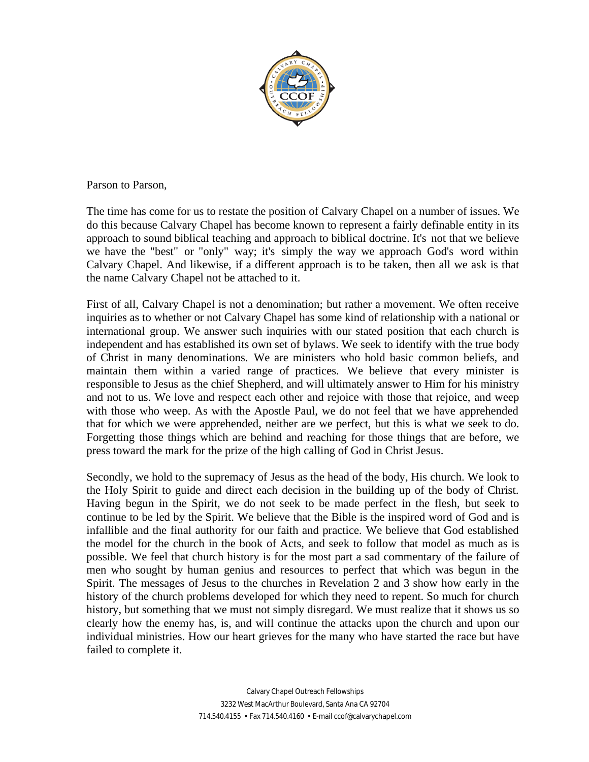

Parson to Parson,

The time has come for us to restate the position of Calvary Chapel on a number of issues. We do this because Calvary Chapel has become known to represent a fairly definable entity in its approach to sound biblical teaching and approach to biblical doctrine. It's not that we believe we have the "best" or "only" way; it's simply the way we approach God's word within Calvary Chapel. And likewise, if a different approach is to be taken, then all we ask is that the name Calvary Chapel not be attached to it.

First of all, Calvary Chapel is not a denomination; but rather a movement. We often receive inquiries as to whether or not Calvary Chapel has some kind of relationship with a national or international group. We answer such inquiries with our stated position that each church is independent and has established its own set of bylaws. We seek to identify with the true body of Christ in many denominations. We are ministers who hold basic common beliefs, and maintain them within a varied range of practices. We believe that every minister is responsible to Jesus as the chief Shepherd, and will ultimately answer to Him for his ministry and not to us. We love and respect each other and rejoice with those that rejoice, and weep with those who weep. As with the Apostle Paul, we do not feel that we have apprehended that for which we were apprehended, neither are we perfect, but this is what we seek to do. Forgetting those things which are behind and reaching for those things that are before, we press toward the mark for the prize of the high calling of God in Christ Jesus.

Secondly, we hold to the supremacy of Jesus as the head of the body, His church. We look to the Holy Spirit to guide and direct each decision in the building up of the body of Christ. Having begun in the Spirit, we do not seek to be made perfect in the flesh, but seek to continue to be led by the Spirit. We believe that the Bible is the inspired word of God and is infallible and the final authority for our faith and practice. We believe that God established the model for the church in the book of Acts, and seek to follow that model as much as is possible. We feel that church history is for the most part a sad commentary of the failure of men who sought by human genius and resources to perfect that which was begun in the Spirit. The messages of Jesus to the churches in Revelation 2 and 3 show how early in the history of the church problems developed for which they need to repent. So much for church history, but something that we must not simply disregard. We must realize that it shows us so clearly how the enemy has, is, and will continue the attacks upon the church and upon our individual ministries. How our heart grieves for the many who have started the race but have failed to complete it.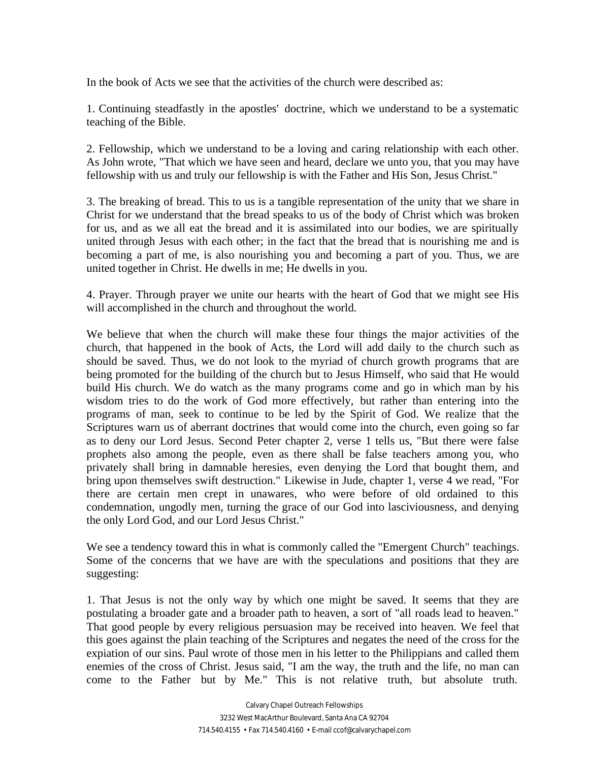In the book of Acts we see that the activities of the church were described as:

1. Continuing steadfastly in the apostles' doctrine, which we understand to be a systematic teaching of the Bible.

2. Fellowship, which we understand to be a loving and caring relationship with each other. As John wrote, "That which we have seen and heard, declare we unto you, that you may have fellowship with us and truly our fellowship is with the Father and His Son, Jesus Christ."

3. The breaking of bread. This to us is a tangible representation of the unity that we share in Christ for we understand that the bread speaks to us of the body of Christ which was broken for us, and as we all eat the bread and it is assimilated into our bodies, we are spiritually united through Jesus with each other; in the fact that the bread that is nourishing me and is becoming a part of me, is also nourishing you and becoming a part of you. Thus, we are united together in Christ. He dwells in me; He dwells in you.

4. Prayer. Through prayer we unite our hearts with the heart of God that we might see His will accomplished in the church and throughout the world.

We believe that when the church will make these four things the major activities of the church, that happened in the book of Acts, the Lord will add daily to the church such as should be saved. Thus, we do not look to the myriad of church growth programs that are being promoted for the building of the church but to Jesus Himself, who said that He would build His church. We do watch as the many programs come and go in which man by his wisdom tries to do the work of God more effectively, but rather than entering into the programs of man, seek to continue to be led by the Spirit of God. We realize that the Scriptures warn us of aberrant doctrines that would come into the church, even going so far as to deny our Lord Jesus. Second Peter chapter 2, verse 1 tells us, "But there were false prophets also among the people, even as there shall be false teachers among you, who privately shall bring in damnable heresies, even denying the Lord that bought them, and bring upon themselves swift destruction." Likewise in Jude, chapter 1, verse 4 we read, "For there are certain men crept in unawares, who were before of old ordained to this condemnation, ungodly men, turning the grace of our God into lasciviousness, and denying the only Lord God, and our Lord Jesus Christ."

We see a tendency toward this in what is commonly called the "Emergent Church" teachings. Some of the concerns that we have are with the speculations and positions that they are suggesting:

1. That Jesus is not the only way by which one might be saved. It seems that they are postulating a broader gate and a broader path to heaven, a sort of "all roads lead to heaven." That good people by every religious persuasion may be received into heaven. We feel that this goes against the plain teaching of the Scriptures and negates the need of the cross for the expiation of our sins. Paul wrote of those men in his letter to the Philippians and called them enemies of the cross of Christ. Jesus said, "I am the way, the truth and the life, no man can come to the Father but by Me." This is not relative truth, but absolute truth.